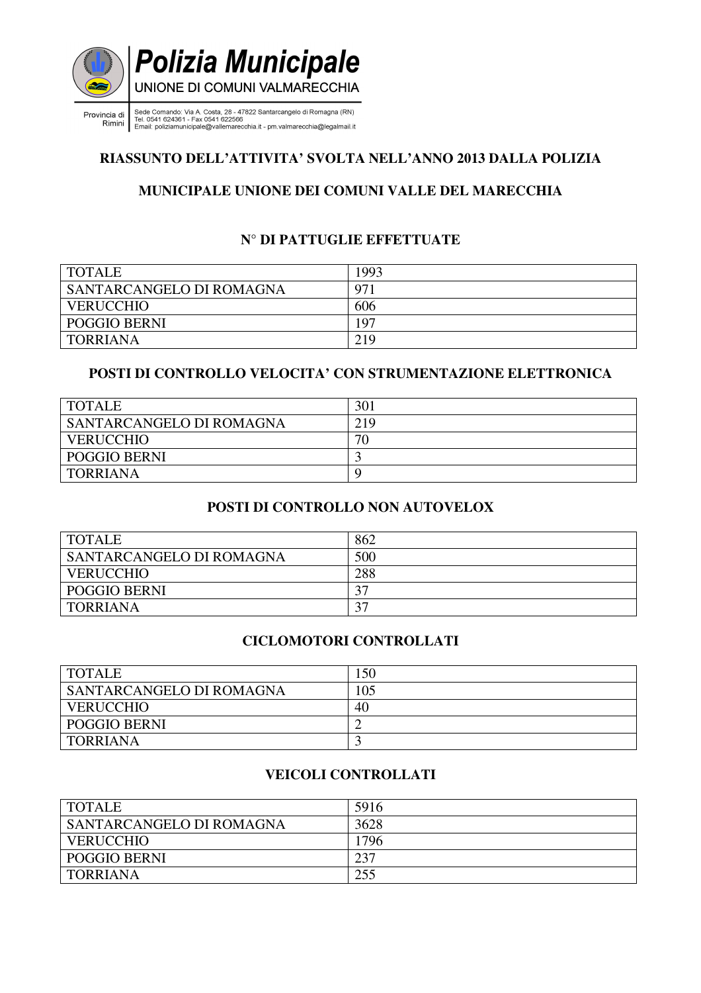

rincia di sede Comando: Via A. Costa, 28 - 47822 Santarcangelo di Romagna (RN)<br>Rimini si si continente della filma di Santo (192566)<br>Rimini si Email: poliziamunicipale@vallemarecchia.it - pm.valmarecchia@legalmail.it Provincia di

# **RIASSUNTO DELL'ATTIVITA' SVOLTA NELL'ANNO 2013 DALLA POLIZIA**

## **MUNICIPALE UNIONE DEI COMUNI VALLE DEL MARECCHIA**

# **N° DI PATTUGLIE EFFETTUATE**

| <b>TOTALE</b>            | 1993 |
|--------------------------|------|
| SANTARCANGELO DI ROMAGNA | 971  |
| <b>VERUCCHIO</b>         | 606  |
| <b>POGGIO BERNI</b>      | 197  |
| TORRIANA                 | 219  |

## **POSTI DI CONTROLLO VELOCITA' CON STRUMENTAZIONE ELETTRONICA**

| <b>TOTALE</b>            | 301 |
|--------------------------|-----|
| SANTARCANGELO DI ROMAGNA | 219 |
| <b>VERUCCHIO</b>         | 70  |
| <b>POGGIO BERNI</b>      |     |
| <b>TORRIANA</b>          | C   |

## **POSTI DI CONTROLLO NON AUTOVELOX**

| <b>TOTALE</b>                   | 862 |
|---------------------------------|-----|
| <b>SANTARCANGELO DI ROMAGNA</b> | 500 |
| <b>VERUCCHIO</b>                | 288 |
| <b>POGGIO BERNI</b>             |     |
| TORRIANA                        | n n |

## **CICLOMOTORI CONTROLLATI**

| <b>TOTALE</b>            | 150 |
|--------------------------|-----|
| SANTARCANGELO DI ROMAGNA | 105 |
| <b>VERUCCHIO</b>         | 40  |
| <b>POGGIO BERNI</b>      |     |
| <b>TORRIANA</b>          |     |

# **VEICOLI CONTROLLATI**

| <b>TOTALE</b>            | 5916 |
|--------------------------|------|
| SANTARCANGELO DI ROMAGNA | 3628 |
| <b>VERUCCHIO</b>         | 1796 |
| <b>POGGIO BERNI</b>      | 237  |
| <b>TORRIANA</b>          | 255  |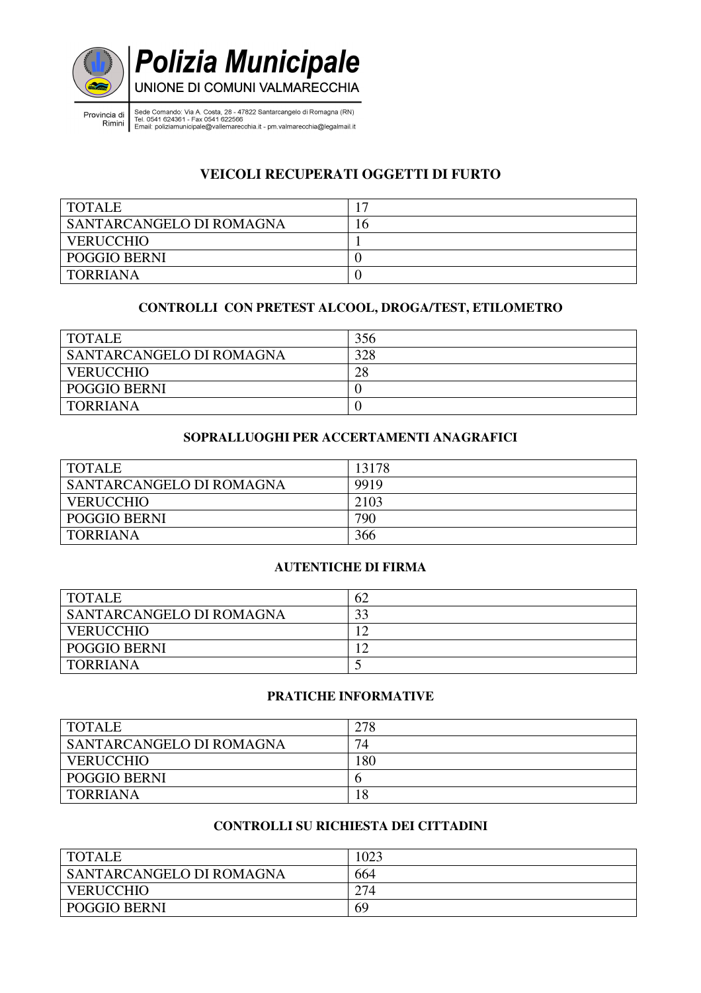

Provincia di Sede Comando: Via A. Costa, 28 - 47822 Santarcangelo di Romagna (RN)<br>Rimini Tel. 0541 624361 - Fax 0541 622566<br>Email: poliziamunicipale@vallemarecchia.it - pm.valmarecchia@legalmail.it

# **VEICOLI RECUPERATI OGGETTI DI FURTO**

| <b>TOTALE</b>                   |    |
|---------------------------------|----|
| <b>SANTARCANGELO DI ROMAGNA</b> | .0 |
| <b>VERUCCHIO</b>                |    |
| POGGIO BERNI                    |    |
| <b>TORRIANA</b>                 |    |

## **CONTROLLI CON PRETEST ALCOOL, DROGA/TEST, ETILOMETRO**

| <b>TOTALE</b>            | 356 |
|--------------------------|-----|
| SANTARCANGELO DI ROMAGNA | 328 |
| <b>VERUCCHIO</b>         | 28  |
| <b>POGGIO BERNI</b>      |     |
| <b>TORRIANA</b>          |     |

#### **SOPRALLUOGHI PER ACCERTAMENTI ANAGRAFICI**

| <b>TOTALE</b>            | 13178 |
|--------------------------|-------|
| SANTARCANGELO DI ROMAGNA | 9919  |
| <b>VERUCCHIO</b>         | 2103  |
| <b>POGGIO BERNI</b>      | 790   |
| <b>TORRIANA</b>          | 366   |

#### **AUTENTICHE DI FIRMA**

| <b>TOTALE</b>            | 62 |
|--------------------------|----|
| SANTARCANGELO DI ROMAGNA | 33 |
| <b>VERUCCHIO</b>         |    |
| <b>POGGIO BERNI</b>      |    |
| <b>TORRIANA</b>          | ັ  |

#### **PRATICHE INFORMATIVE**

| <b>TOTALE</b>            | 278 |
|--------------------------|-----|
| SANTARCANGELO DI ROMAGNA | 74  |
| <b>VERUCCHIO</b>         | 180 |
| <b>POGGIO BERNI</b>      |     |
| <b>TORRIANA</b>          | 18  |

## **CONTROLLI SU RICHIESTA DEI CITTADINI**

| <b>TOTALE</b>            | 1023 |
|--------------------------|------|
| SANTARCANGELO DI ROMAGNA | 664  |
| <b>VERUCCHIO</b>         | 274  |
| <b>POGGIO BERNI</b>      | 69   |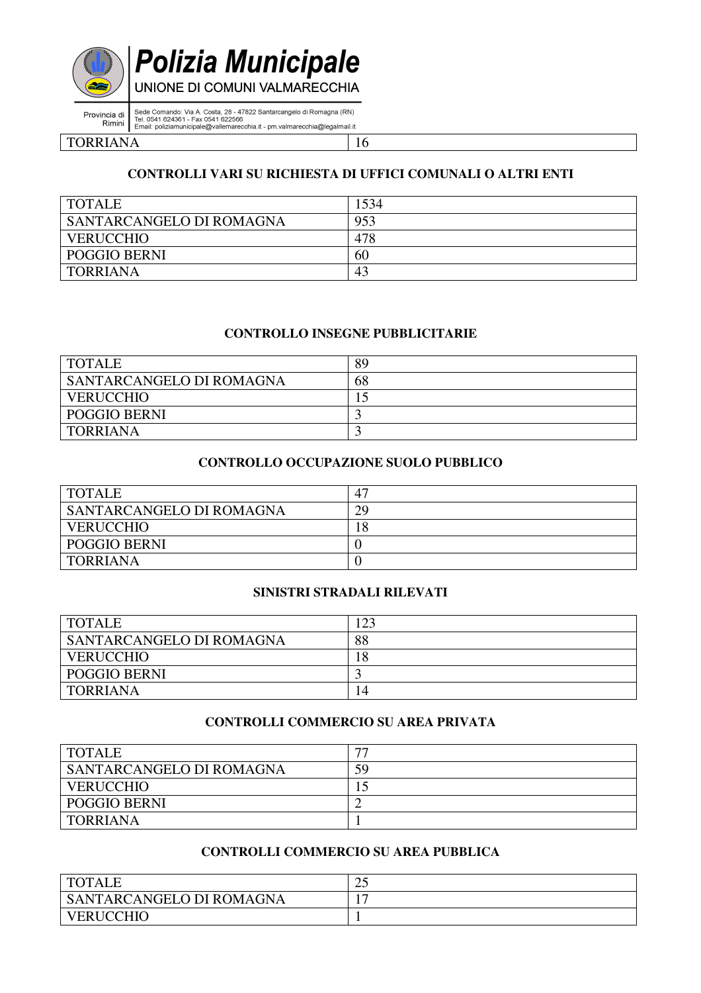



UNIONE DI COMUNI VALMARECCHIA

Sede Comando: Via A. Costa, 28 - 47822 Santarcangelo di Romagna (RN)<br>Tel. 0541 624361 - Fax 0541 622566<br>Email: poliziamunicipale@vallemarecchia.it - pm.valmarecchia@legalmail.it Provincia di Rimini

TORRIANA 16

#### **CONTROLLI VARI SU RICHIESTA DI UFFICI COMUNALI O ALTRI ENTI**

| <b>TOTALE</b>            | 1534 |
|--------------------------|------|
| SANTARCANGELO DI ROMAGNA | 953  |
| <b>VERUCCHIO</b>         | 478  |
| <b>POGGIO BERNI</b>      | 60   |
| TORRIANA                 | 43   |

#### **CONTROLLO INSEGNE PUBBLICITARIE**

| <b>TOTALE</b>            | 89 |
|--------------------------|----|
| SANTARCANGELO DI ROMAGNA | 68 |
| <b>VERUCCHIO</b>         |    |
| <b>POGGIO BERNI</b>      |    |
| TORRIANA                 |    |

#### **CONTROLLO OCCUPAZIONE SUOLO PUBBLICO**

| <b>TOTALE</b>            | 4  |
|--------------------------|----|
| SANTARCANGELO DI ROMAGNA | 29 |
| <b>VERUCCHIO</b>         | 18 |
| <b>POGGIO BERNI</b>      |    |
| TORRIANA                 |    |

#### **SINISTRI STRADALI RILEVATI**

| <b>TOTALE</b>            | 23 |
|--------------------------|----|
| SANTARCANGELO DI ROMAGNA | 88 |
| <b>VERUCCHIO</b>         | 18 |
| <b>POGGIO BERNI</b>      |    |
| TORRIANA                 |    |

#### **CONTROLLI COMMERCIO SU AREA PRIVATA**

| <b>TOTALE</b>            | $\overline{\phantom{m}}$ |
|--------------------------|--------------------------|
| SANTARCANGELO DI ROMAGNA | 59                       |
| <b>VERUCCHIO</b>         |                          |
| <b>POGGIO BERNI</b>      |                          |
| <b>TORRIANA</b>          |                          |

#### **CONTROLLI COMMERCIO SU AREA PUBBLICA**

| <b>TOTALE</b>            | ∩⊆<br>رے |
|--------------------------|----------|
| SANTARCANGELO DI ROMAGNA |          |
| <b>VERUCCHIO</b>         |          |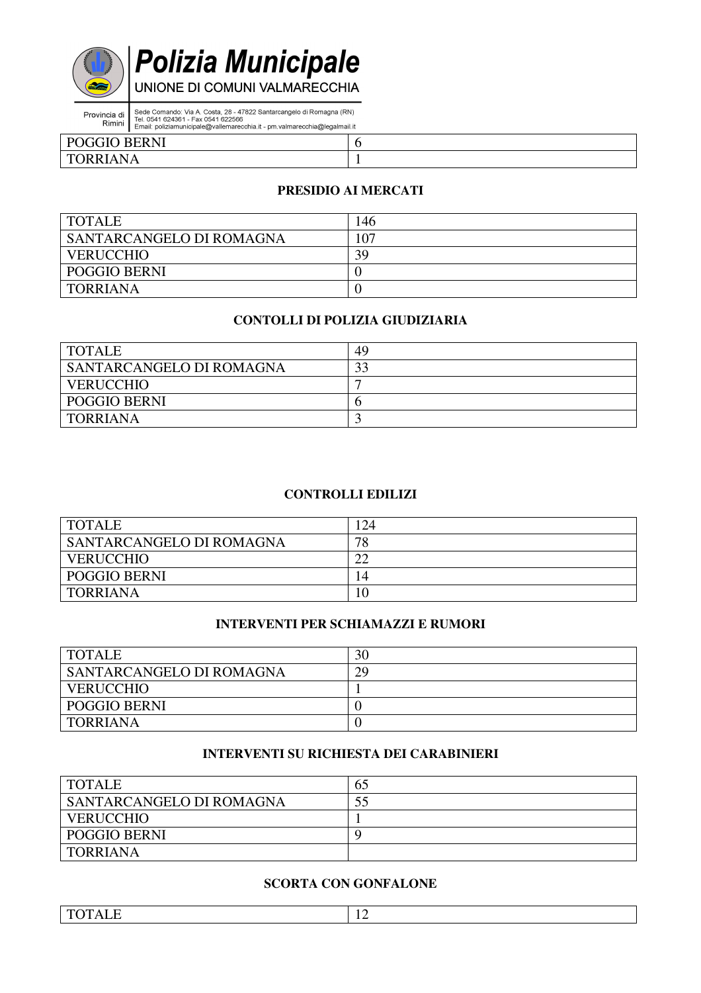

**Polizia Municipale** 

Provincia di Sede Comando: Via A. Costa, 28 - 47822 Santarcangelo di Romagna (RN)<br>Rimini Tel. 0541 624361 - Fax 0541 622566<br>Email: poliziamunicipale@vallemarecchia.it - pm.valmarecchia@legalmail.it

| <b>GGIO BERNI</b><br>$P\Omega$<br>⊥ v                                                                                                                |  |
|------------------------------------------------------------------------------------------------------------------------------------------------------|--|
| $N\Delta$<br>$\mathbf{r}$<br>ט טו<br>the contract of the contract of the contract of the contract of the contract of the contract of the contract of |  |

#### **PRESIDIO AI MERCATI**

| <b>TOTALE</b>            | .46 |
|--------------------------|-----|
| SANTARCANGELO DI ROMAGNA | 107 |
| <b>VERUCCHIO</b>         | 39  |
| <b>POGGIO BERNI</b>      |     |
| <b>TORRIANA</b>          |     |

#### **CONTOLLI DI POLIZIA GIUDIZIARIA**

| <b>TOTALE</b>            | 49 |
|--------------------------|----|
| SANTARCANGELO DI ROMAGNA | ົາ |
| <b>VERUCCHIO</b>         |    |
| <b>POGGIO BERNI</b>      |    |
| <b>TORRIANA</b>          |    |

#### **CONTROLLI EDILIZI**

| <b>TOTALE</b>            | .24            |
|--------------------------|----------------|
| SANTARCANGELO DI ROMAGNA | 78             |
| <b>VERUCCHIO</b>         | רר             |
| <b>POGGIO BERNI</b>      | $\overline{4}$ |
| <b>TORRIANA</b>          |                |

## **INTERVENTI PER SCHIAMAZZI E RUMORI**

| <b>TOTALE</b>            | 30 |
|--------------------------|----|
| SANTARCANGELO DI ROMAGNA | 29 |
| <b>VERUCCHIO</b>         |    |
| <b>POGGIO BERNI</b>      |    |
| TORRIANA                 |    |

## **INTERVENTI SU RICHIESTA DEI CARABINIERI**

| <b>TOTALE</b>            | 65 |
|--------------------------|----|
| SANTARCANGELO DI ROMAGNA |    |
| <b>VERUCCHIO</b>         |    |
| POGGIO BERNI             |    |
| TORRIANA                 |    |

#### **SCORTA CON GONFALONE**

| __<br>$\mathbf{m}$<br>$\mathbf{r}$<br>$\overline{\phantom{a}}$<br>, , , , , , , ,<br>-<br>- | -<br>-- |
|---------------------------------------------------------------------------------------------|---------|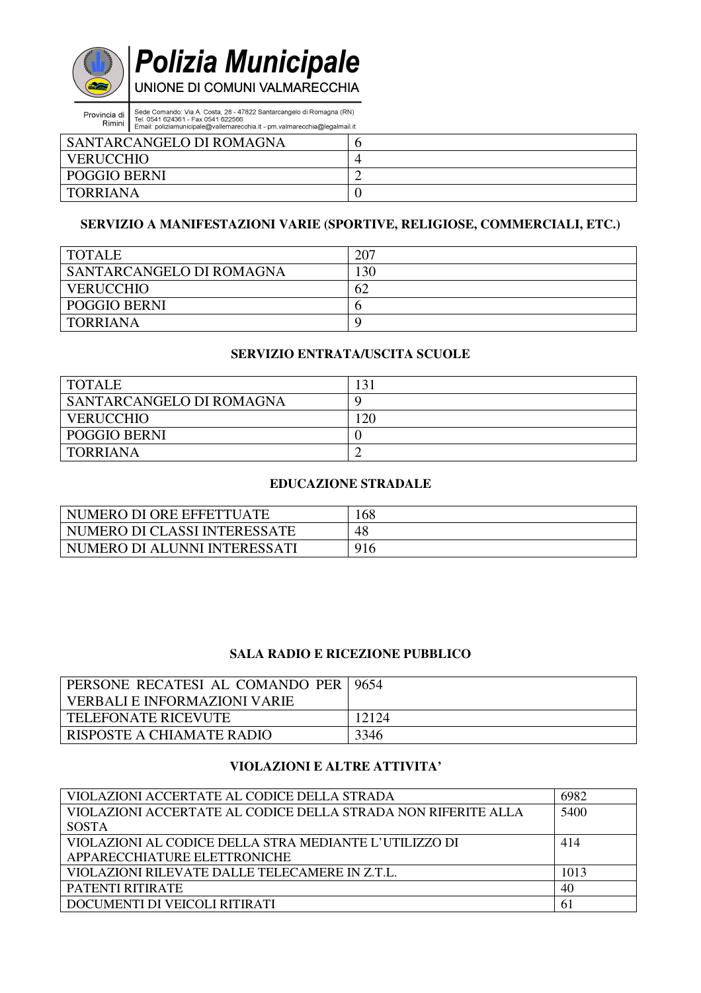

Provincia di Sede Comando: Via A. Costa, 28 - 47822 Santarcangelo di Romagna (RN)<br>Tel. 0541 624361 - Fax 0541 622566<br>Email: poliziamunicipale@vallemarecchia.it - pm.valmarecchia@legalmail.it

| SANTARCANGELO DI ROMAGNA |           |
|--------------------------|-----------|
| <b>VERUCCHIO</b>         |           |
| <b>POGGIO BERNI</b>      | <b>__</b> |
| TORRIANA                 |           |

#### **SERVIZIO A MANIFESTAZIONI VARIE (SPORTIVE, RELIGIOSE, COMMERCIALI, ETC.)**

| <b>TOTALE</b>            | 207 |
|--------------------------|-----|
| SANTARCANGELO DI ROMAGNA | .30 |
| <b>VERUCCHIO</b>         | 62  |
| <b>POGGIO BERNI</b>      | n   |
| <b>TORRIANA</b>          | C   |

#### **SERVIZIO ENTRATA/USCITA SCUOLE**

| <b>TOTALE</b>                   |     |
|---------------------------------|-----|
| <b>SANTARCANGELO DI ROMAGNA</b> |     |
| <b>VERUCCHIO</b>                | .20 |
| <b>POGGIO BERNI</b>             |     |
| <b>TORRIANA</b>                 |     |

#### **EDUCAZIONE STRADALE**

| NUMERO DI ORE EFFETTUATE       | 168 |
|--------------------------------|-----|
| NUMERO DI CLASSI INTERESSATE   | 48  |
| I NUMERO DI ALUNNI INTERESSATI | 916 |

#### **SALA RADIO E RICEZIONE PUBBLICO**

| <b>PERSONE RECATESI AL COMANDO PER   9654</b> |       |
|-----------------------------------------------|-------|
| VERBALI E INFORMAZIONI VARIE                  |       |
| <b>TELEFONATE RICEVUTE</b>                    | 12124 |
| RISPOSTE A CHIAMATE RADIO                     | 3346  |

#### **VIOLAZIONI E ALTRE ATTIVITA'**

| VIOLAZIONI ACCERTATE AL CODICE DELLA STRADA                   | 6982 |
|---------------------------------------------------------------|------|
| VIOLAZIONI ACCERTATE AL CODICE DELLA STRADA NON RIFERITE ALLA | 5400 |
| <b>SOSTA</b>                                                  |      |
| VIOLAZIONI AL CODICE DELLA STRA MEDIANTE L'UTILIZZO DI        | 414  |
| APPARECCHIATURE ELETTRONICHE                                  |      |
| VIOLAZIONI RILEVATE DALLE TELECAMERE IN Z.T.L.                | 1013 |
| PATENTI RITIRATE                                              | 40   |
| DOCUMENTI DI VEICOLI RITIRATI                                 | 61   |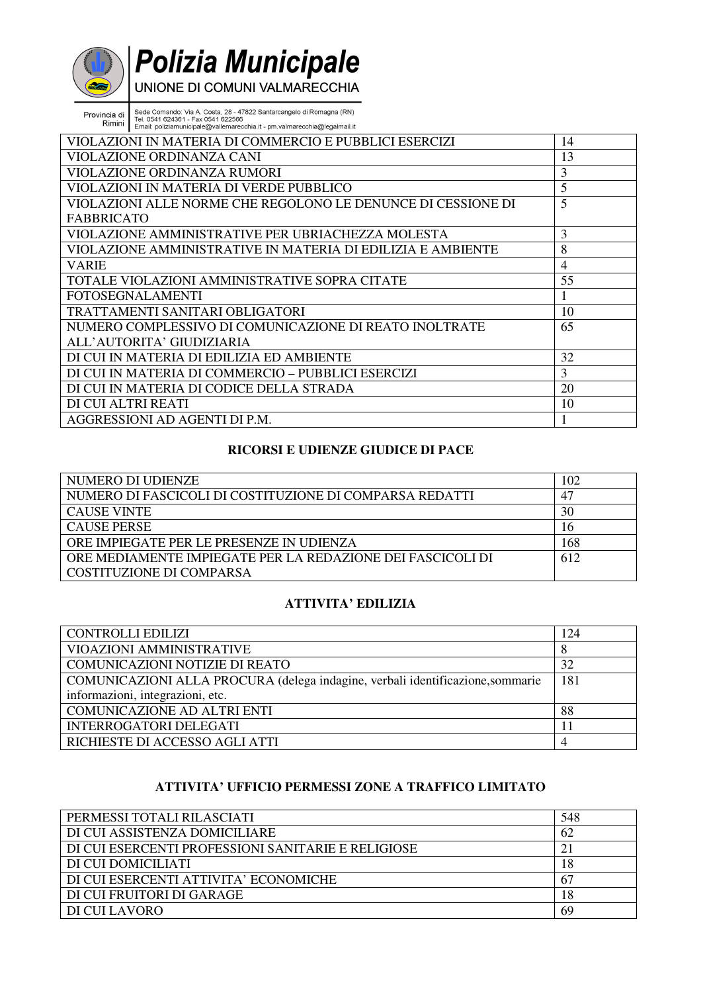# **Polizia Municipale**

Provincia di Sede Comando: Via A. Costa, 28 - 47822 Santarcangelo di Romagna (RN)<br>Tel. 0541 624361 - Fax 0541 622566<br>Email: poliziamunicipale@vallemarecchia.it - pm.valmarecchia@legalmail.it

| VIOLAZIONI IN MATERIA DI COMMERCIO E PUBBLICI ESERCIZI       | 14 |
|--------------------------------------------------------------|----|
| VIOLAZIONE ORDINANZA CANI                                    | 13 |
| VIOLAZIONE ORDINANZA RUMORI                                  | 3  |
| VIOLAZIONI IN MATERIA DI VERDE PUBBLICO                      | 5  |
| VIOLAZIONI ALLE NORME CHE REGOLONO LE DENUNCE DI CESSIONE DI | 5  |
| <b>FABBRICATO</b>                                            |    |
| VIOLAZIONE AMMINISTRATIVE PER UBRIACHEZZA MOLESTA            | 3  |
| VIOLAZIONE AMMINISTRATIVE IN MATERIA DI EDILIZIA E AMBIENTE  | 8  |
| <b>VARIE</b>                                                 | 4  |
| TOTALE VIOLAZIONI AMMINISTRATIVE SOPRA CITATE                | 55 |
| <b>FOTOSEGNALAMENTI</b>                                      |    |
| TRATTAMENTI SANITARI OBLIGATORI                              | 10 |
| NUMERO COMPLESSIVO DI COMUNICAZIONE DI REATO INOLTRATE       | 65 |
| ALL'AUTORITA' GIUDIZIARIA                                    |    |
| DI CUI IN MATERIA DI EDILIZIA ED AMBIENTE                    | 32 |
| DI CUI IN MATERIA DI COMMERCIO – PUBBLICI ESERCIZI           | 3  |
| DI CUI IN MATERIA DI CODICE DELLA STRADA                     | 20 |
| DI CUI ALTRI REATI                                           | 10 |
| AGGRESSIONI AD AGENTI DI P.M.                                |    |

#### **RICORSI E UDIENZE GIUDICE DI PACE**

| NUMERO DI UDIENZE                                          | 102         |
|------------------------------------------------------------|-------------|
| NUMERO DI FASCICOLI DI COSTITUZIONE DI COMPARSA REDATTI    | $4^{\circ}$ |
| <b>CAUSE VINTE</b>                                         | 30          |
| <b>CAUSE PERSE</b>                                         | 16          |
| ORE IMPIEGATE PER LE PRESENZE IN UDIENZA                   | 168         |
| ORE MEDIAMENTE IMPIEGATE PER LA REDAZIONE DEI FASCICOLI DI | 612         |
| COSTITUZIONE DI COMPARSA                                   |             |

## **ATTIVITA' EDILIZIA**

| <b>CONTROLLI EDILIZI</b>                                                       | 124 |
|--------------------------------------------------------------------------------|-----|
| VIOAZIONI AMMINISTRATIVE                                                       |     |
| <b>COMUNICAZIONI NOTIZIE DI REATO</b>                                          | 32  |
| COMUNICAZIONI ALLA PROCURA (delega indagine, verbali identificazione, sommarie | 181 |
| informazioni, integrazioni, etc.                                               |     |
| COMUNICAZIONE AD ALTRI ENTI                                                    | 88  |
| <b>INTERROGATORI DELEGATI</b>                                                  |     |
| RICHIESTE DI ACCESSO AGLI ATTI                                                 |     |

#### **ATTIVITA' UFFICIO PERMESSI ZONE A TRAFFICO LIMITATO**

| PERMESSI TOTALI RILASCIATI                         | 548 |
|----------------------------------------------------|-----|
| DI CUI ASSISTENZA DOMICILIARE                      | 62  |
| DI CUI ESERCENTI PROFESSIONI SANITARIE E RELIGIOSE |     |
| DI CUI DOMICILIATI                                 | 18  |
| DI CUI ESERCENTI ATTIVITA' ECONOMICHE              | -67 |
| DI CUI FRUITORI DI GARAGE                          | 18  |
| DI CUI LAVORO                                      | 69  |